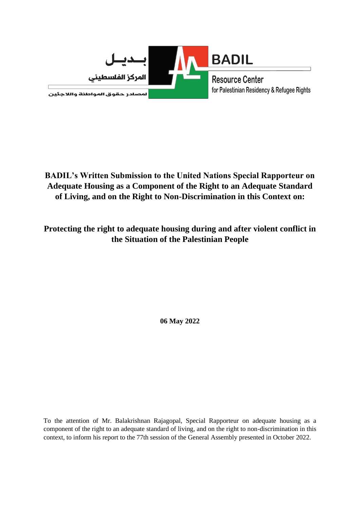

**BADIL's Written Submission to the United Nations Special Rapporteur on Adequate Housing as a Component of the Right to an Adequate Standard of Living, and on the Right to Non-Discrimination in this Context on:**

**Protecting the right to adequate housing during and after violent conflict in the Situation of the Palestinian People**

**06 May 2022**

To the attention of Mr. Balakrishnan Rajagopal, Special Rapporteur on adequate housing as a component of the right to an adequate standard of living, and on the right to non-discrimination in this context, to inform his report to the 77th session of the General Assembly presented in October 2022.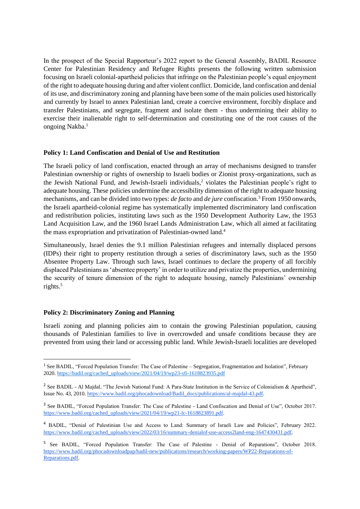In the prospect of the Special Rapporteur's 2022 report to the General Assembly, BADIL Resource Center for Palestinian Residency and Refugee Rights presents the following written submission focusing on Israeli colonial-apartheid policies that infringe on the Palestinian people's equal enjoyment of the right to adequate housing during and after violent conflict. Domicide, land confiscation and denial of its use, and discriminatory zoning and planning have been some of the main policies used historically and currently by Israel to annex Palestinian land, create a coercive environment, forcibly displace and transfer Palestinians, and segregate, fragment and isolate them - thus undermining their ability to exercise their inalienable right to self-determination and constituting one of the root causes of the ongoing Nakba. 1

# **Policy 1: Land Confiscation and Denial of Use and Restitution**

The Israeli policy of land confiscation, enacted through an array of mechanisms designed to transfer Palestinian ownership or rights of ownership to Israeli bodies or Zionist proxy-organizations, such as the Jewish National Fund, and Jewish-Israeli individuals, <sup>2</sup> violates the Palestinian people's right to adequate housing. These policies undermine the accessibility dimension of the right to adequate housing mechanisms, and can be divided into two types: *de facto* and *de jure* confiscation. <sup>3</sup> From 1950 onwards, the Israeli apartheid-colonial regime has systematically implemented discriminatory land confiscation and redistribution policies, instituting laws such as the 1950 Development Authority Law, the 1953 Land Acquisition Law, and the 1960 Israel Lands Administration Law, which all aimed at facilitating the mass expropriation and privatization of Palestinian-owned land.<sup>4</sup>

Simultaneously, Israel denies the 9.1 million Palestinian refugees and internally displaced persons (IDPs) their right to property restitution through a series of discriminatory laws, such as the 1950 Absentee Property Law. Through such laws, Israel continues to declare the property of all forcibly displaced Palestinians as 'absentee property' in order to utilize and privatize the properties, undermining the security of tenure dimension of the right to adequate housing, namely Palestinians' ownership rights.<sup>5</sup>

# **Policy 2: Discriminatory Zoning and Planning**

Israeli zoning and planning policies aim to contain the growing Palestinian population, causing thousands of Palestinian families to live in overcrowded and unsafe conditions because they are prevented from using their land or accessing public land. While Jewish-Israeli localities are developed

<sup>&</sup>lt;sup>1</sup> See BADIL, "Forced Population Transfer: The Case of Palestine – Segregation, Fragmentation and Isolation", February 2020[. https://badil.org/cached\\_uploads/view/2021/04/19/wp23-sfi-1618823935.pdf](https://badil.org/cached_uploads/view/2021/04/19/wp23-sfi-1618823935.pdf)

<sup>&</sup>lt;sup>2</sup> See BADIL - Al Majdal, "The Jewish National Fund: A Para-State Institution in the Service of Colonialism & Apartheid", Issue No. 43, 2010. [https://www.badil.org/phocadownload/Badil\\_docs/publications/al-majdal-43.pdf.](https://www.badil.org/phocadownload/Badil_docs/publications/al-majdal-43.pdf)

<sup>&</sup>lt;sup>3</sup> See BADIL, "Forced Population Transfer: The Case of Palestine - Land Confiscation and Denial of Use", October 2017. [https://www.badil.org/cached\\_uploads/view/2021/04/19/wp21-lc-1618823891.pdf.](https://www.badil.org/cached_uploads/view/2021/04/19/wp21-lc-1618823891.pdf)

<sup>4</sup> BADIL, "Denial of Palestinian Use and Access to Land: Summary of Israeli Law and Policies", February 2022. [https://www.badil.org/cached\\_uploads/view/2022/03/16/summary-denialof-use-access2land-eng-1647430431.pdf.](https://www.badil.org/cached_uploads/view/2022/03/16/summary-denialof-use-access2land-eng-1647430431.pdf)

<sup>&</sup>lt;sup>5</sup> See BADIL, "Forced Population Transfer: The Case of Palestine - Denial of Reparations", October 2018. [https://www.badil.org/phocadownloadpap/badil-new/publications/research/working-papers/WP22-Reparations-of-](https://www.badil.org/phocadownloadpap/badil-new/publications/research/working-papers/WP22-Reparations-of-Reparations.pdf)[Reparations.pdf.](https://www.badil.org/phocadownloadpap/badil-new/publications/research/working-papers/WP22-Reparations-of-Reparations.pdf)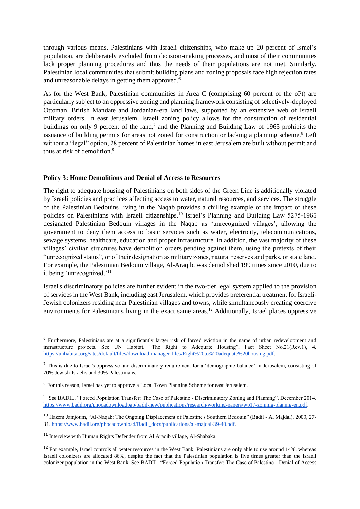through various means, Palestinians with Israeli citizenships, who make up 20 percent of Israel's population, are deliberately excluded from decision-making processes, and most of their communities lack proper planning procedures and thus the needs of their populations are not met. Similarly, Palestinian local communities that submit building plans and zoning proposals face high rejection rates and unreasonable delays in getting them approved.<sup>6</sup>

As for the West Bank, Palestinian communities in Area C (comprising 60 percent of the oPt) are particularly subject to an oppressive zoning and planning framework consisting of selectively-deployed Ottoman, British Mandate and Jordanian-era land laws, supported by an extensive web of Israeli military orders. In east Jerusalem, Israeli zoning policy allows for the construction of residential buildings on only 9 percent of the land, $7$  and the Planning and Building Law of 1965 prohibits the issuance of building permits for areas not zoned for construction or lacking a planning scheme.<sup>8</sup> Left without a "legal" option, 28 percent of Palestinian homes in east Jerusalem are built without permit and thus at risk of demolition  $9$ 

### **Policy 3: Home Demolitions and Denial of Access to Resources**

The right to adequate housing of Palestinians on both sides of the Green Line is additionally violated by Israeli policies and practices affecting access to water, natural resources, and services. The struggle of the Palestinian Bedouins living in the Naqab provides a chilling example of the impact of these policies on Palestinians with Israeli citizenships.<sup>10</sup> Israel's Planning and Building Law 5275-1965 designated Palestinian Bedouin villages in the Naqab as 'unrecognized villages', allowing the government to deny them access to basic services such as water, electricity, telecommunications, sewage systems, healthcare, education and proper infrastructure. In addition, the vast majority of these villages' civilian structures have demolition orders pending against them, using the pretexts of their "unrecognized status", or of their designation as military zones, natural reserves and parks, or state land. For example, the Palestinian Bedouin village, Al-Araqib, was demolished 199 times since 2010, due to it being 'unrecognized.'<sup>11</sup>

Israel's discriminatory policies are further evident in the two-tier legal system applied to the provision of services in the West Bank, including east Jerusalem, which provides preferential treatment for Israeli-Jewish colonizers residing near Palestinian villages and towns, while simultaneously creating coercive environments for Palestinians living in the exact same areas.<sup>12</sup> Additionally, Israel places oppressive

<sup>&</sup>lt;sup>6</sup> Furthermore, Palestinians are at a significantly larger risk of forced eviction in the name of urban redevelopment and infrastructure projects. See UN Habitat, "The Right to Adequate Housing", Fact Sheet No.21(Rev.1), 4. [https://unhabitat.org/sites/default/files/download-manager-files/Right%20to%20adequate%20housing.pdf.](https://unhabitat.org/sites/default/files/download-manager-files/Right%20to%20adequate%20housing.pdf)

<sup>&</sup>lt;sup>7</sup> This is due to Israel's oppressive and discriminatory requirement for a 'demographic balance' in Jerusalem, consisting of 70% Jewish-Israelis and 30% Palestinians.

<sup>&</sup>lt;sup>8</sup> For this reason, Israel has yet to approve a Local Town Planning Scheme for east Jerusalem.

<sup>&</sup>lt;sup>9</sup> See BADIL, "Forced Population Transfer: The Case of Palestine - Discriminatory Zoning and Planning", December 2014. [https://www.badil.org/phocadownloadpap/badil-new/publications/research/working-papers/wp17-zoninig-plannig-en.pdf.](https://www.badil.org/phocadownloadpap/badil-new/publications/research/working-papers/wp17-zoninig-plannig-en.pdf)

<sup>10</sup> Hazem Jamjoum, "Al-Naqab: The Ongoing Displacement of Palestine's Southern Bedouin" (Badil - Al Majdal), 2009, 27- 31[. https://www.badil.org/phocadownload/Badil\\_docs/publications/al-majdal-39-40.pdf.](https://www.badil.org/phocadownload/Badil_docs/publications/al-majdal-39-40.pdf)

<sup>&</sup>lt;sup>11</sup> Interview with Human Rights Defender from Al Araqib village, Al-Shabaka.

<sup>&</sup>lt;sup>12</sup> For example, Israel controls all water resources in the West Bank; Palestinians are only able to use around 14%, whereas Israeli colonizers are allocated 86%, despite the fact that the Palestinian population is five times greater than the Israeli colonizer population in the West Bank. See BADIL, "Forced Population Transfer: The Case of Palestine - Denial of Access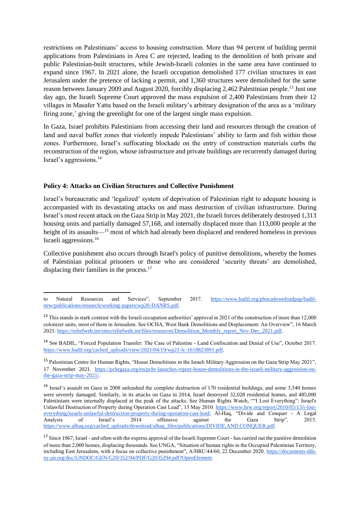restrictions on Palestinians' access to housing construction. More than 94 percent of building permit applications from Palestinians in Area C are rejected, leading to the demolition of both private and public Palestinian-built structures, while Jewish-Israeli colonies in the same area have continued to expand since 1967. In 2021 alone, the Israeli occupation demolished 177 civilian structures in east Jerusalem under the pretence of lacking a permit, and 1,360 structures were demolished for the same reason between January 2009 and August 2020, forcibly displacing 2,462 Palestinian people.<sup>13</sup> Just one day ago, the Israeli Supreme Court approved the mass expulsion of 2,400 Palestinians from their 12 villages in Masafer Yatta based on the Israeli military's arbitrary designation of the area as a 'military firing zone,' giving the greenlight for one of the largest single mass expulsion.

In Gaza, Israel prohibits Palestinians from accessing their land and resources through the creation of land and naval buffer zones that violently impede Palestinians' ability to farm and fish within those zones. Furthermore, Israel's suffocating blockade on the entry of construction materials curbs the reconstruction of the region, whose infrastructure and private buildings are recurrently damaged during Israel's aggressions. 14

# **Policy 4: Attacks on Civilian Structures and Collective Punishment**

Israel's bureaucratic and 'legalized' system of deprivation of Palestinian right to adequate housing is accompanied with its devastating attacks on and mass destruction of civilian infrastructure. During Israel's most recent attack on the Gaza Strip in May 2021, the Israeli forces deliberately destroyed 1,313 housing units and partially damaged 57,168, and internally displaced more than 113,000 people at the height of its assaults—<sup>15</sup> most of which had already been displaced and rendered homeless in previous Israeli aggressions.<sup>16</sup>

Collective punishment also occurs through Israel's policy of punitive demolitions, whereby the homes of Palestinian political prisoners or those who are considered 'security threats' are demolished, displacing their families in the process.<sup>17</sup>

to Natural Resources and Services", September 2017. [https://www.badil.org/phocadownloadpap/badil](https://www.badil.org/phocadownloadpap/badil-new/publications/research/working-papers/wp20-DANRS.pdf)[new/publications/research/working-papers/wp20-DANRS.pdf.](https://www.badil.org/phocadownloadpap/badil-new/publications/research/working-papers/wp20-DANRS.pdf)

<sup>&</sup>lt;sup>13</sup> This stands in stark contrast with the Israeli occupation authorities' approval in 2021 of the construction of more than 12,000 colonizer units, most of them in Jerusalem. See OCHA, West Bank Demolitions and Displacement: An Overview", 16 March 2021[. https://reliefweb.int/sites/reliefweb.int/files/resources/Demolition\\_Monthly\\_report\\_Nov-Dec\\_2021.pdf.](https://reliefweb.int/sites/reliefweb.int/files/resources/Demolition_Monthly_report_Nov-Dec_2021.pdf)

<sup>14</sup> See BADIL, "Forced Population Transfer: The Case of Palestine - Land Confiscation and Denial of Use", October 2017. [https://www.badil.org/cached\\_uploads/view/2021/04/19/wp21-lc-1618823891.pdf.](https://www.badil.org/cached_uploads/view/2021/04/19/wp21-lc-1618823891.pdf)

<sup>&</sup>lt;sup>15</sup> Palestinian Centre for Human Rights, "House Demolitions in the Israeli Military Aggression on the Gaza Strip May 2021", 17 November 2021. [https://pchrgaza.org/en/pchr-launches-report-house-demolitions-in-the-israeli-military-aggression-on](https://pchrgaza.org/en/pchr-launches-report-house-demolitions-in-the-israeli-military-aggression-on-the-gaza-strip-may-2021/)[the-gaza-strip-may-2021/.](https://pchrgaza.org/en/pchr-launches-report-house-demolitions-in-the-israeli-military-aggression-on-the-gaza-strip-may-2021/) 

<sup>&</sup>lt;sup>16</sup> Israel's assault on Gaza in 2008 unleashed the complete destruction of 170 residential buildings, and some 3,540 homes were severely damaged. Similarly, in its attacks on Gaza in 2014, Israel destroyed 32,028 residential homes, and 485,000 Palestinians were internally displaced at the peak of the attacks. See Human Rights Watch, ""I Lost Everything": Israel's Unlawful Destruction of Property during Operation Cast Lead", 13 May 2010. [https://www.hrw.org/report/2010/05/13/i-lost](https://www.hrw.org/report/2010/05/13/i-lost-everything/israels-unlawful-destruction-property-during-operation-cast-lead)[everything/israels-unlawful-destruction-property-during-operation-cast-lead;](https://www.hrw.org/report/2010/05/13/i-lost-everything/israels-unlawful-destruction-property-during-operation-cast-lead) Al-Haq, "Divide and Conquer - A Legal Analysis of Israel's 2014 offensive against the Gaza Strip", 2015. [https://www.alhaq.org/cached\\_uploads/download/alhaq\\_files/publications/DIVIDE.AND.CONQUER.pdf.](https://www.alhaq.org/cached_uploads/download/alhaq_files/publications/DIVIDE.AND.CONQUER.pdf)

<sup>&</sup>lt;sup>17</sup> Since 1967, Israel - and often with the express approval of the Israeli Supreme Court - has carried out the punitive demolition of more than 2,000 homes, displacing thousands. See UNGA, "Situation of human rights in the Occupied Palestinian Territory, including East Jerusalem, with a focus on collective punishment", A/HRC/44/60, 22 December 2020. [https://documents-dds](https://documents-dds-ny.un.org/doc/UNDOC/GEN/G20/352/94/PDF/G2035294.pdf?OpenElement)[ny.un.org/doc/UNDOC/GEN/G20/352/94/PDF/G2035294.pdf?OpenElement.](https://documents-dds-ny.un.org/doc/UNDOC/GEN/G20/352/94/PDF/G2035294.pdf?OpenElement)